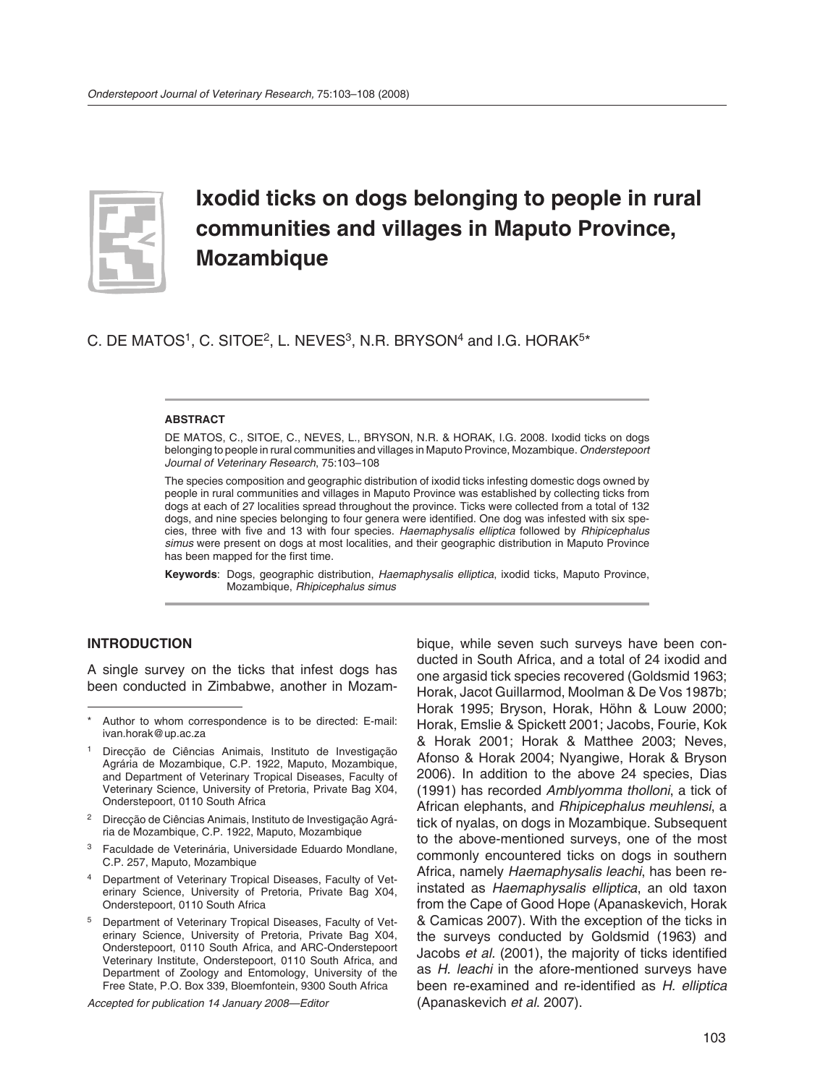

# **Ixodid ticks on dogs belonging to people in rural communities and villages in Maputo Province, Mozambique**

C. DE MATOS<sup>1</sup>, C. SITOE<sup>2</sup>, L. NEVES<sup>3</sup>, N.R. BRYSON<sup>4</sup> and I.G. HORAK<sup>5\*</sup>

#### **ABSTRACT**

DE MATOS, C., SITOE, C., NEVES, L., BRYSON, N.R. & HORAK, I.G. 2008. Ixodid ticks on dogs belonging to people in rural communities and villages in Maputo Province, Mozambique. *Onderstepoort Journal of Veterinary Research*, 75:103–108

The species composition and geographic distribution of ixodid ticks infesting domestic dogs owned by people in rural communities and villages in Maputo Province was established by collecting ticks from dogs at each of 27 localities spread throughout the province. Ticks were collected from a total of 132 dogs, and nine species belonging to four genera were identified. One dog was infested with six species, three with five and 13 with four species. *Haemaphysalis elliptica* followed by *Rhipicephalus simus* were present on dogs at most localities, and their geographic distribution in Maputo Province has been mapped for the first time.

**Keywords**: Dogs, geographic distribution, *Haemaphysalis elliptica*, ixodid ticks, Maputo Province, Mozambique, *Rhipicephalus simus*

#### **INTRODUCTION**

A single survey on the ticks that infest dogs has been conducted in Zimbabwe, another in Mozam-

*Accepted for publication 14 January 2008—Editor*

bique, while seven such surveys have been conducted in South Africa, and a total of 24 ixodid and one argasid tick species recovered (Goldsmid 1963; Horak, Jacot Guillarmod, Moolman & De Vos 1987b; Horak 1995; Bryson, Horak, Höhn & Louw 2000; Horak, Emslie & Spickett 2001; Jacobs, Fourie, Kok & Horak 2001; Horak & Matthee 2003; Neves, Afonso & Horak 2004; Nyangiwe, Horak & Bryson 2006). In addition to the above 24 species, Dias (1991) has recorded *Amblyomma tholloni*, a tick of African elephants, and *Rhipicephalus meuhlensi*, a tick of nyalas, on dogs in Mozambique. Subsequent to the above-mentioned surveys, one of the most commonly encountered ticks on dogs in southern Africa, namely *Haemaphysalis leachi*, has been reinstated as *Haemaphysalis elliptica*, an old taxon from the Cape of Good Hope (Apanaskevich, Horak & Camicas 2007). With the exception of the ticks in the surveys conducted by Goldsmid (1963) and Jacobs *et al.* (2001), the majority of ticks identified as *H. leachi* in the afore-mentioned surveys have been re-examined and re-identified as *H. elliptica*  (Apanaskevich *et al*. 2007).

Author to whom correspondence is to be directed: E-mail: ivan.horak@up.ac.za

Direcção de Ciências Animais, Instituto de Investigação Agrária de Mozambique, C.P. 1922, Maputo, Mozambique, and Department of Veterinary Tropical Diseases, Faculty of Veterinary Science, University of Pretoria, Private Bag X04, Onderstepoort, 0110 South Africa

<sup>2</sup> Direcção de Ciências Animais, Instituto de Investigação Agrária de Mozambique, C.P. 1922, Maputo, Mozambique

<sup>3</sup> Faculdade de Veterinária, Universidade Eduardo Mondlane, C.P. 257, Maputo, Mozambique

Department of Veterinary Tropical Diseases, Faculty of Veterinary Science, University of Pretoria, Private Bag X04, Onderstepoort, 0110 South Africa

<sup>5</sup> Department of Veterinary Tropical Diseases, Faculty of Veterinary Science, University of Pretoria, Private Bag X04, Onderstepoort, 0110 South Africa, and ARC-Onderstepoort Veterinary Institute, Onderstepoort, 0110 South Africa, and Department of Zoology and Entomology, University of the Free State, P.O. Box 339, Bloemfontein, 9300 South Africa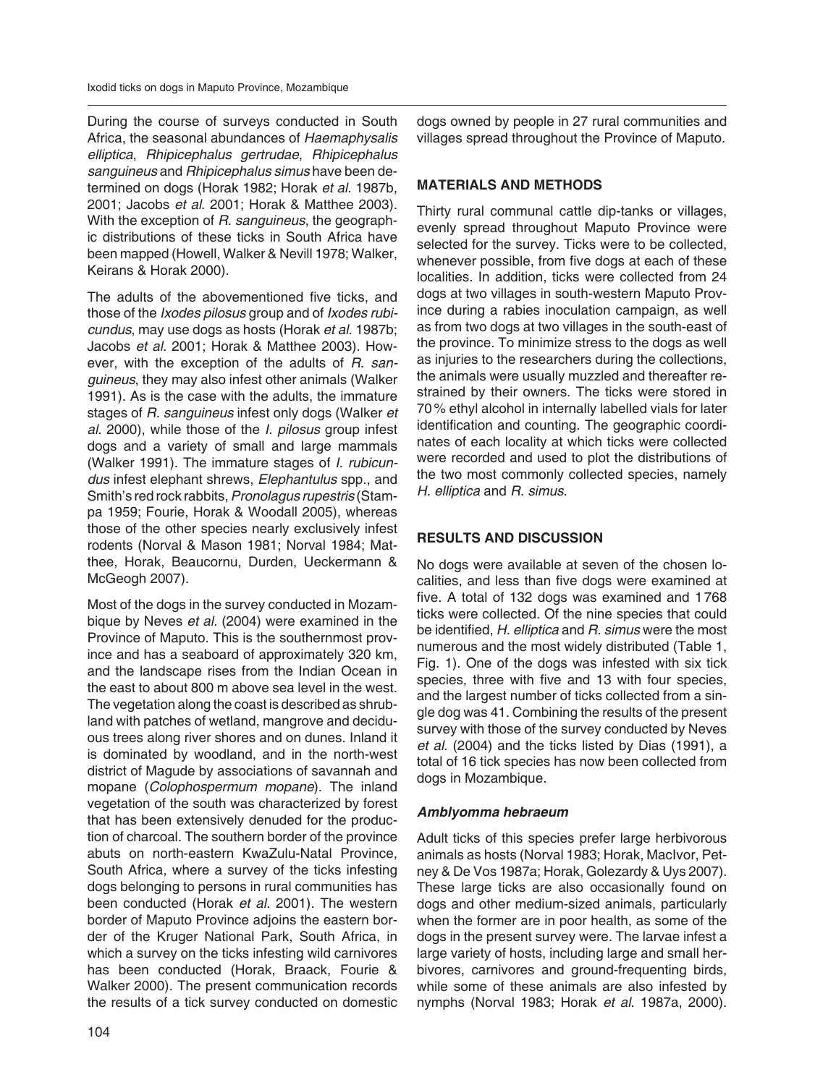During the course of surveys conducted in South Africa, the seasonal abundances of *Haemaphysalis elliptica*, *Rhipicephalus gertrudae*, *Rhipicephalus san guineus* and *Rhipicephalus simus* have been determined on dogs (Horak 1982; Horak *et al*. 1987b, 2001; Jacobs *et al*. 2001; Horak & Matthee 2003). With the exception of *R. sanguineus*, the geographic distributions of these ticks in South Africa have been mapped (Howell, Walker & Nevill 1978; Walker, Keirans & Horak 2000).

The adults of the abovementioned five ticks, and those of the *Ixodes pilosus* group and of *Ixodes rubicundus*, may use dogs as hosts (Horak *et al*. 1987b; Jacobs *et al*. 2001; Horak & Matthee 2003). However, with the exception of the adults of *R. sanguineus*, they may also infest other animals (Walker 1991). As is the case with the adults, the immature stages of *R. sanguineus* infest only dogs (Walker *et al.* 2000), while those of the *I. pilosus* group infest dogs and a variety of small and large mammals (Walker 1991). The immature stages of *I. rubicundus* infest elephant shrews, *Elephantulus* spp., and Smith's red rock rabbits, *Pronolagus rupestris* (Stampa 1959; Fourie, Horak & Woodall 2005), whereas those of the other species nearly exclusively infest rodents (Norval & Mason 1981; Norval 1984; Matthee, Horak, Beaucornu, Durden, Ueckermann & McGeogh 2007).

Most of the dogs in the survey conducted in Mozambique by Neves *et al.* (2004) were examined in the Province of Maputo. This is the southernmost province and has a seaboard of approximately 320 km, and the landscape rises from the Indian Ocean in the east to about 800 m above sea level in the west. The vegetation along the coast is described as shrubland with patches of wetland, mangrove and deciduous trees along river shores and on dunes. Inland it is dominated by woodland, and in the north-west district of Magude by associations of savannah and mopane (*Colophospermum mopane*). The inland vegetation of the south was characterized by forest that has been extensively denuded for the production of charcoal. The southern border of the province abuts on north-eastern KwaZulu-Natal Province, South Africa, where a survey of the ticks infesting dogs belonging to persons in rural communities has been conducted (Horak *et al.* 2001). The western border of Maputo Province adjoins the eastern border of the Kruger National Park, South Africa, in which a survey on the ticks infesting wild carnivores has been conducted (Horak, Braack, Fourie & Walker 2000). The present communication records the results of a tick survey conducted on domestic

dogs owned by people in 27 rural communities and villages spread throughout the Province of Maputo.

# **MATERIALS AND METHODS**

Thirty rural communal cattle dip-tanks or villages, evenly spread throughout Maputo Province were selected for the survey. Ticks were to be collected, whenever possible, from five dogs at each of these localities. In addition, ticks were collected from 24 dogs at two villages in south-western Maputo Province during a rabies inoculation campaign, as well as from two dogs at two villages in the south-east of the province. To minimize stress to the dogs as well as injuries to the researchers during the collections, the animals were usually muzzled and thereafter restrained by their owners. The ticks were stored in 70 % ethyl alcohol in internally labelled vials for later identification and counting. The geographic coordinates of each locality at which ticks were collected were recorded and used to plot the distributions of the two most commonly collected species, namely *H. elliptica* and *R. simus*.

# **RESULTS AND DISCUSSION**

No dogs were available at seven of the chosen localities, and less than five dogs were examined at five. A total of 132 dogs was examined and 1 768 ticks were collected. Of the nine species that could be identified, *H. elliptica* and *R. simus* were the most numerous and the most widely distributed (Table 1, Fig. 1). One of the dogs was infested with six tick species, three with five and 13 with four species, and the largest number of ticks collected from a single dog was 41. Combining the results of the present survey with those of the survey conducted by Neves *et al*. (2004) and the ticks listed by Dias (1991), a total of 16 tick species has now been collected from dogs in Mozambique.

# *Amblyomma hebraeum*

Adult ticks of this species prefer large herbivorous animals as hosts (Norval 1983; Horak, MacIvor, Petney & De Vos 1987a; Horak, Golezardy & Uys 2007). These large ticks are also occasionally found on dogs and other medium-sized animals, particularly when the former are in poor health, as some of the dogs in the present survey were. The larvae infest a large variety of hosts, including large and small herbivores, carnivores and ground-frequenting birds, while some of these animals are also infested by nymphs (Norval 1983; Horak *et al*. 1987a, 2000).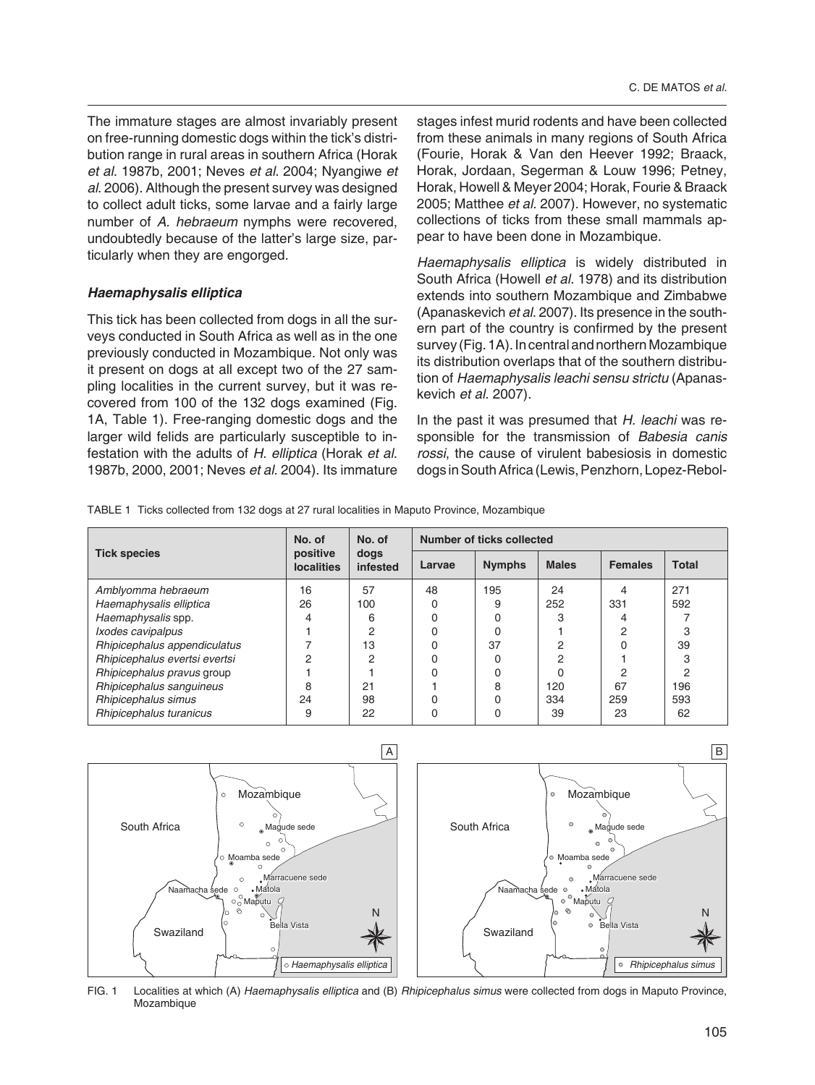The immature stages are almost invariably present on free-running domestic dogs within the tick's distribution range in rural areas in southern Africa (Horak *et al*. 1987b, 2001; Neves *et al*. 2004; Nyan giwe *et al*. 2006). Although the present survey was designed to collect adult ticks, some larvae and a fairly large number of *A. hebraeum* nymphs were recovered, undoubtedly because of the latter's large size, particularly when they are engorged.

### *Haemaphysalis elliptica*

This tick has been collected from dogs in all the surveys conducted in South Africa as well as in the one previously conducted in Mozambique. Not only was it present on dogs at all except two of the 27 sampling localities in the current survey, but it was recovered from 100 of the 132 dogs examined (Fig. 1A, Table 1). Free-ranging domestic dogs and the larger wild felids are particularly susceptible to infestation with the adults of *H. elliptica* (Horak *et al*. 1987b, 2000, 2001; Neves *et al*. 2004). Its immature

stages infest murid rodents and have been collected from these animals in many regions of South Africa (Fourie, Horak & Van den Heever 1992; Braack, Horak, Jordaan, Segerman & Louw 1996; Petney, Horak, Howell & Meyer 2004; Horak, Fourie & Braack 2005; Matthee *et al*. 2007). However, no systematic collections of ticks from these small mammals appear to have been done in Mozambique.

*Haemaphysalis elliptica* is widely distributed in South Africa (Howell *et al.* 1978) and its distribution extends into southern Mozambique and Zimbabwe (Apanaskevich *et al*. 2007). Its presence in the southern part of the country is confirmed by the present survey (Fig. 1A). In central and northern Mozambique its distribution overlaps that of the southern distribution of *Haemaphysalis leachi sensu strictu* (Apanaskevich *et al*. 2007).

In the past it was presumed that *H. leachi* was responsible for the transmission of *Babesia canis rossi*, the cause of virulent babesiosis in domestic dogs in South Africa (Lewis, Penzhorn, Lopez-Rebol-

TABLE 1 Ticks collected from 132 dogs at 27 rural localities in Maputo Province, Mozambique

| <b>Tick species</b>           | No. of<br>positive<br><b>localities</b> | No. of<br>dogs<br>infested | Number of ticks collected |               |              |                |              |
|-------------------------------|-----------------------------------------|----------------------------|---------------------------|---------------|--------------|----------------|--------------|
|                               |                                         |                            | Larvae                    | <b>Nymphs</b> | <b>Males</b> | <b>Females</b> | <b>Total</b> |
| Amblyomma hebraeum            | 16                                      | 57                         | 48                        | 195           | 24           | 4              | 271          |
| Haemaphysalis elliptica       | 26                                      | 100                        | 0                         | 9             | 252          | 331            | 592          |
| Haemaphysalis spp.            |                                         | 6                          | 0                         |               |              | 4              |              |
| Ixodes cavipalpus             |                                         | റ                          | 0                         |               |              | っ              | 3            |
| Rhipicephalus appendiculatus  |                                         | 13                         | 0                         | 37            | $\Omega$     | 0              | 39           |
| Rhipicephalus evertsi evertsi | 2                                       | 2                          | 0                         |               | ∩            |                | 3            |
| Rhipicephalus pravus group    |                                         |                            | 0                         |               |              | 2              | 2            |
| Rhipicephalus sanguineus      | 8                                       | 21                         |                           | 8             | 120          | 67             | 196          |
| Rhipicephalus simus           | 24                                      | 98                         | 0                         |               | 334          | 259            | 593          |
| Rhipicephalus turanicus       | 9                                       | 22                         | 0                         |               | 39           | 23             | 62           |



FIG. 1 Localities at which (A) *Haemaphysalis elliptica* and (B) *Rhipicephalus simus* were collected from dogs in Maputo Province, Mozambique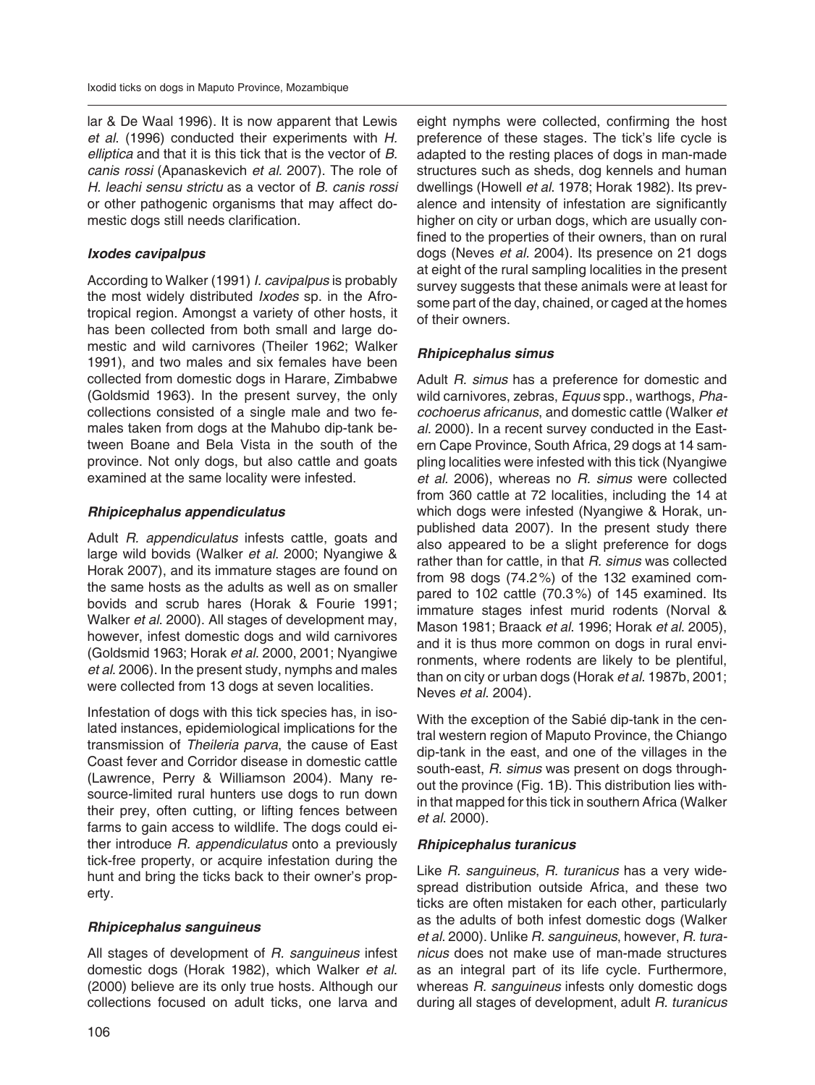lar & De Waal 1996). It is now apparent that Lewis *et al*. (1996) conducted their experiments with *H. elliptica* and that it is this tick that is the vector of *B. canis rossi* (Apanaskevich *et al.* 2007). The role of *H. leachi sensu strictu* as a vector of *B. canis rossi* or other pathogenic organisms that may affect domestic dogs still needs clarification.

## *Ixodes cavipalpus*

According to Walker (1991) *I. cavipalpus* is probably the most widely distributed *Ixodes* sp. in the Afrotropical region. Amongst a variety of other hosts, it has been collected from both small and large domestic and wild carnivores (Theiler 1962; Walker 1991), and two males and six females have been collected from domestic dogs in Harare, Zimbabwe (Goldsmid 1963). In the present survey, the only collections consisted of a single male and two females taken from dogs at the Mahubo dip-tank between Boane and Bela Vista in the south of the province. Not only dogs, but also cattle and goats examined at the same locality were infested.

## *Rhipicephalus appendiculatus*

Adult *R. appendiculatus* infests cattle, goats and large wild bovids (Walker *et al*. 2000; Nyangiwe & Horak 2007), and its immature stages are found on the same hosts as the adults as well as on smaller bovids and scrub hares (Horak & Fourie 1991; Walker *et al*. 2000). All stages of development may, however, infest domestic dogs and wild carnivores (Goldsmid 1963; Horak *et al*. 2000, 2001; Nyangiwe *et al*. 2006). In the present study, nymphs and males were collected from 13 dogs at seven localities.

Infestation of dogs with this tick species has, in isolated instances, epidemiological implications for the transmission of *Theileria parva*, the cause of East Coast fever and Corridor disease in domestic cattle (Lawrence, Perry & Williamson 2004). Many resource-limited rural hunters use dogs to run down their prey, often cutting, or lifting fences between farms to gain access to wildlife. The dogs could either introduce *R. appendiculatus* onto a previously tick-free property, or acquire infestation during the hunt and bring the ticks back to their owner's property.

## *Rhipicephalus sanguineus*

All stages of development of *R. sanguineus* infest domestic dogs (Horak 1982), which Walker *et al*. (2000) believe are its only true hosts. Although our collections focused on adult ticks, one larva and

eight nymphs were collected, confirming the host preference of these stages. The tick's life cycle is adapted to the resting places of dogs in man-made structures such as sheds, dog kennels and human dwellings (Howell *et al*. 1978; Horak 1982). Its prevalence and intensity of infestation are significantly higher on city or urban dogs, which are usually confined to the properties of their owners, than on rural dogs (Neves *et al.* 2004). Its presence on 21 dogs at eight of the rural sampling localities in the present survey suggests that these animals were at least for some part of the day, chained, or caged at the homes of their owners.

# *Rhipicephalus simus*

Adult *R. simus* has a preference for domestic and wild carnivores, zebras, *Equus* spp., warthogs, *Phaco choerus africanus*, and domestic cattle (Walker *et al.* 2000). In a recent survey conducted in the Eastern Cape Province, South Africa, 29 dogs at 14 sampling localities were infested with this tick (Nyangiwe *et al.* 2006), whereas no *R. simus* were collected from 360 cattle at 72 localities, including the 14 at which dogs were infested (Nyangiwe & Horak, unpublished data 2007). In the present study there also appeared to be a slight preference for dogs rather than for cattle, in that *R. simus* was collected from 98 dogs (74.2 %) of the 132 examined compared to 102 cattle (70.3 %) of 145 examined. Its immature stages infest murid rodents (Norval & Mason 1981; Braack *et al*. 1996; Horak *et al*. 2005), and it is thus more common on dogs in rural environments, where rodents are likely to be plentiful, than on city or urban dogs (Horak *et al*. 1987b, 2001; Neves *et al*. 2004).

With the exception of the Sabié dip-tank in the central western region of Maputo Province, the Chiango dip-tank in the east, and one of the villages in the south-east, *R. simus* was present on dogs throughout the province (Fig. 1B). This distribution lies within that mapped for this tick in southern Africa (Walker *et al*. 2000).

# *Rhipicephalus turanicus*

Like *R. sanguineus*, *R. turanicus* has a very widespread distribution outside Africa, and these two ticks are often mistaken for each other, particularly as the adults of both infest domestic dogs (Walker *et al*. 2000). Unlike *R. sanguineus*, however, *R. turanicus* does not make use of man-made structures as an integral part of its life cycle. Furthermore, whereas *R. sanguineus* infests only domestic dogs during all stages of development, adult *R. turanicus*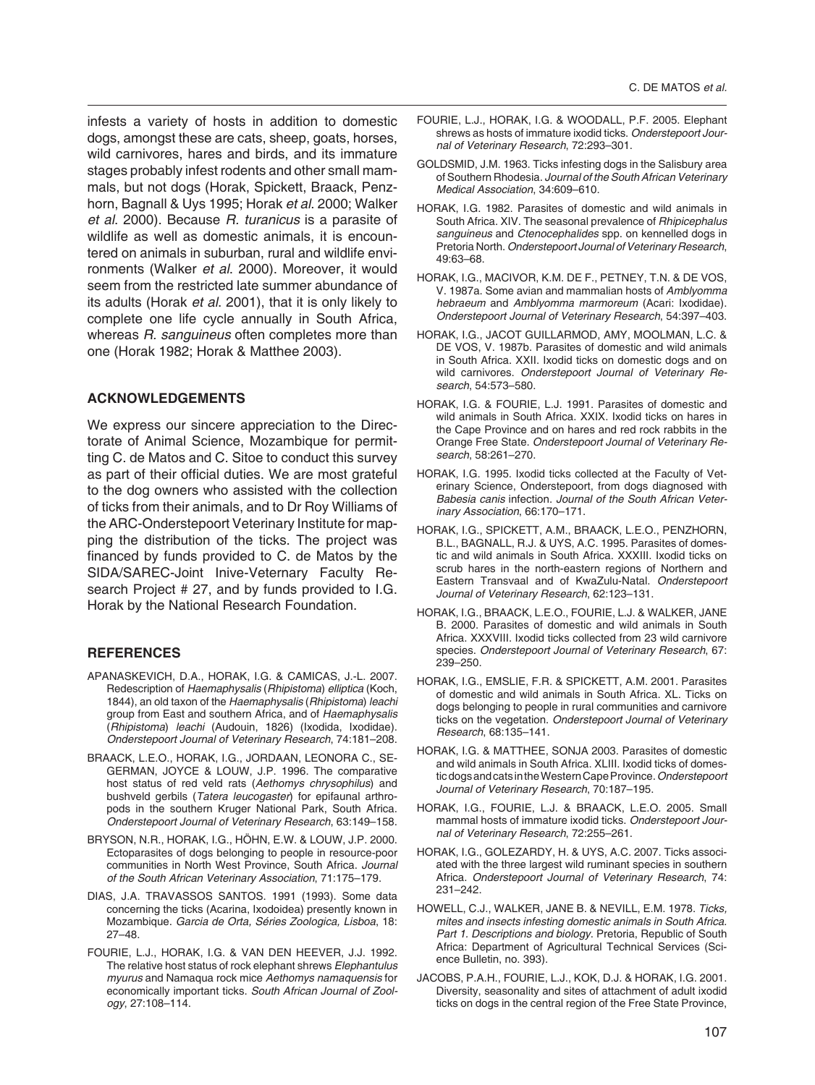infests a variety of hosts in addition to domestic dogs, amongst these are cats, sheep, goats, horses, wild carnivores, hares and birds, and its immature stages probably infest rodents and other small mammals, but not dogs (Horak, Spickett, Braack, Penzhorn, Bagnall & Uys 1995; Horak *et al*. 2000; Walker *et al*. 2000). Because *R. turanicus* is a parasite of wildlife as well as domestic animals, it is encountered on animals in suburban, rural and wildlife environments (Walker *et al*. 2000). Moreover, it would seem from the restricted late summer abundance of its adults (Horak *et al*. 2001), that it is only likely to complete one life cycle annually in South Africa, whereas *R. sanguineus* often completes more than one (Horak 1982; Horak & Matthee 2003).

#### **ACKNOWLEDGEMENTS**

We express our sincere appreciation to the Directorate of Animal Science, Mozambique for permitting C. de Matos and C. Sitoe to conduct this survey as part of their official duties. We are most grateful to the dog owners who assisted with the collection of ticks from their animals, and to Dr Roy Williams of the ARC-Onderstepoort Veterinary Institute for mapping the distribution of the ticks. The project was financed by funds provided to C. de Matos by the SIDA/SAREC-Joint Inive-Veternary Faculty Research Project # 27, and by funds provided to I.G. Horak by the National Research Foundation.

#### **REFERENCES**

- APANASKEVICH, D.A., HORAK, I.G. & CAMICAS, J.-L. 2007. Re description of *Haemaphysalis* (*Rhipistoma*) *elliptica* (Koch, 1844), an old taxon of the *Haemaphysalis* (*Rhipistoma*) *leachi* group from East and southern Africa, and of *Haemaphysalis* (*Rhipistoma*) *leachi* (Audouin, 1826) (Ixodida, Ixodidae). *Onderstepoort Journal of Veterinary Research*, 74:181–208.
- BRAACK, L.E.O., HORAK, I.G., JORDAAN, LEONORA C., SE-GERMAN, JOYCE & LOUW, J.P. 1996. The comparative host status of red veld rats (*Aethomys chrysophilus*) and bushveld gerbils (*Tatera leucogaster*) for epifaunal arthropods in the southern Kruger National Park, South Africa. *Onderstepoort Journal of Veterinary Research*, 63:149–158.
- BRYSON, N.R., HORAK, I.G., HÖHN, E.W. & LOUW, J.P. 2000. Ectoparasites of dogs belonging to people in resource-poor communities in North West Province, South Africa. *Journal of the South African Veterinary Association*, 71:175–179.
- DIAS, J.A. TRAVASSOS SANTOS. 1991 (1993). Some data concerning the ticks (Acarina, Ixodoidea) presently known in Mozambique. *Garcia de Orta, Séries Zoologica, Lisboa*, 18: 27–48.
- FOURIE, L.J., HORAK, I.G. & VAN DEN HEEVER, J.J. 1992. The relative host status of rock elephant shrews *Elephantulus myurus* and Namaqua rock mice *Aethomys namaquensis* for economically important ticks. *South African Journal of Zoology*, 27:108–114.
- FOURIE, L.J., HORAK, I.G. & WOODALL, P.F. 2005. Elephant shrews as hosts of immature ixodid ticks. *Onderstepoort Journal of Veterinary Research*, 72:293–301.
- GOLDSMID, J.M. 1963. Ticks infesting dogs in the Salisbury area of Southern Rhodesia. *Journal of the South African Veterinary Medical Association*, 34:609–610.
- HORAK, I.G. 1982. Parasites of domestic and wild animals in South Africa. XIV. The seasonal prevalence of *Rhipicephalus sanguineus* and *Ctenocephalides* spp. on kennelled dogs in Pretoria North. *Onderstepoort Journal of Veterinary Research*, 49:63–68.
- HORAK, I.G., MACIVOR, K.M. DE F., PETNEY, T.N. & DE VOS, V. 1987a. Some avian and mammalian hosts of *Amblyomma hebraeum* and *Amblyomma marmoreum* (Acari: Ixodidae). *Onderstepoort Journal of Veterinary Research*, 54:397–403.
- HORAK, I.G., JACOT GUILLARMOD, AMY, MOOLMAN, L.C. & DE VOS, V. 1987b. Parasites of domestic and wild animals in South Africa. XXII. Ixodid ticks on domestic dogs and on wild carnivores. *Onderstepoort Journal of Veterinary Research*, 54:573–580.
- HORAK, I.G. & FOURIE, L.J. 1991. Parasites of domestic and wild animals in South Africa. XXIX. Ixodid ticks on hares in the Cape Province and on hares and red rock rabbits in the Orange Free State. *Onderstepoort Journal of Veterinary Research*, 58:261–270.
- HORAK, I.G. 1995. Ixodid ticks collected at the Faculty of Veterinary Science, Onderstepoort, from dogs diagnosed with Babesia canis infection. Journal of the South African Veter*inary Association*, 66:170–171.
- HORAK, I.G., SPICKETT, A.M., BRAACK, L.E.O., PENZHORN, B.L., BAGNALL, R.J. & UYS, A.C. 1995. Parasites of domestic and wild animals in South Africa. XXXIII. Ixodid ticks on scrub hares in the north-eastern regions of Northern and Eastern Transvaal and of KwaZulu-Natal. *Onderstepoort Jour nal of Veterinary Research*, 62:123–131.
- HORAK, I.G., BRAACK, L.E.O., FOURIE, L.J. & WALKER, JANE B. 2000. Parasites of domestic and wild animals in South Africa. XXXVIII. Ixodid ticks collected from 23 wild carnivore species. *Onderstepoort Journal of Veterinary Research*, 67: 239–250.
- HORAK, I.G., EMSLIE, F.R. & SPICKETT, A.M. 2001. Parasites of domestic and wild animals in South Africa. XL. Ticks on dogs belonging to people in rural communities and carnivore ticks on the vegetation. *Onderstepoort Journal of Veterinary Research*, 68:135–141.
- HORAK, I.G. & MATTHEE, SONJA 2003. Parasites of domestic and wild animals in South Africa. XLIII. Ixodid ticks of domestic dogs and cats in the Western Cape Province. *Onderstepoort Journal of Veterinary Research*, 70:187–195.
- HORAK, I.G., FOURIE, L.J. & BRAACK, L.E.O. 2005. Small mammal hosts of immature ixodid ticks. *Onderstepoort Journal of Veterinary Research*, 72:255–261.
- HORAK, I.G., GOLEZARDY, H. & UYS, A.C. 2007. Ticks associated with the three largest wild ruminant species in southern Africa. *Onderstepoort Journal of Veterinary Research*, 74: 231–242.
- HOWELL, C.J., WALKER, JANE B. & NEVILL, E.M. 1978. *Ticks, mites and insects infesting domestic animals in South Africa. Part 1. Descriptions and biology*. Pretoria, Republic of South Africa: Department of Agricultural Technical Services (Science Bulletin, no. 393).
- JACOBS, P.A.H., FOURIE, L.J., KOK, D.J. & HORAK, I.G. 2001. Diversity, seasonality and sites of attachment of adult ixodid ticks on dogs in the central region of the Free State Province,